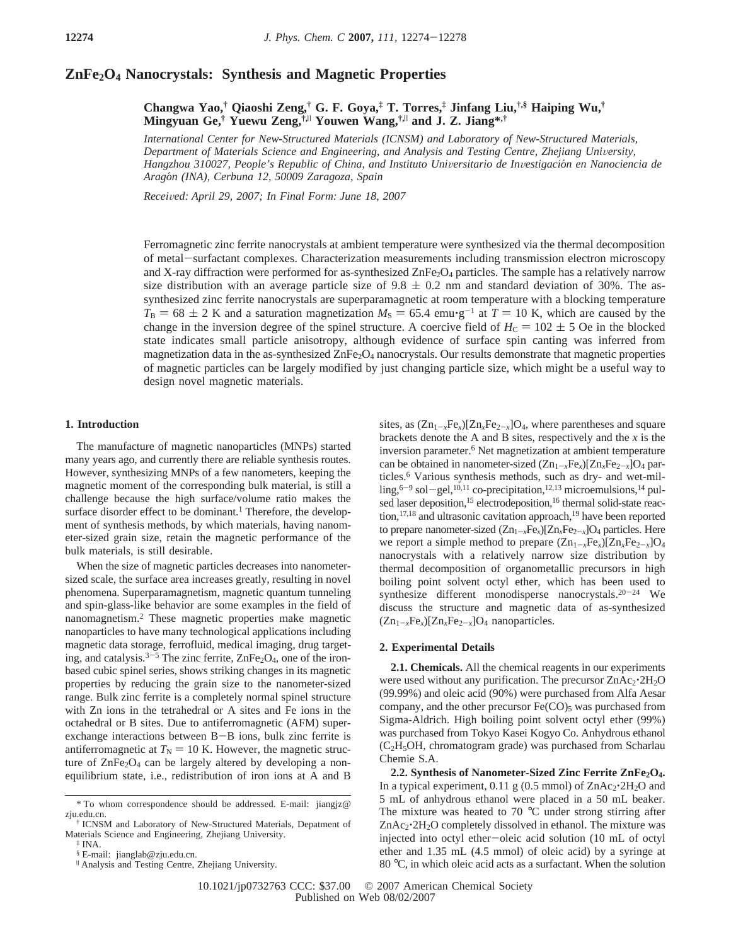# **ZnFe2O4 Nanocrystals: Synthesis and Magnetic Properties**

**Changwa Yao,† Qiaoshi Zeng,† G. F. Goya,‡ T. Torres,‡ Jinfang Liu,†,§ Haiping Wu,† Mingyuan Ge,† Yuewu Zeng,†,**<sup>|</sup> **Youwen Wang,†,**<sup>|</sup> **and J. Z. Jiang\*,†**

*International Center for New-Structured Materials (ICNSM) and Laboratory of New-Structured Materials, Department of Materials Science and Engineering, and Analysis and Testing Centre, Zhejiang University, Hangzhou 310027, People's Republic of China, and Instituto Uni*V*ersitario de In*V*estigacio*´*n en Nanociencia de Arago*´*n (INA), Cerbuna 12, 50009 Zaragoza, Spain*

*Recei*V*ed: April 29, 2007; In Final Form: June 18, 2007*

Ferromagnetic zinc ferrite nanocrystals at ambient temperature were synthesized via the thermal decomposition of metal-surfactant complexes. Characterization measurements including transmission electron microscopy and X-ray diffraction were performed for as-synthesized ZnFe<sub>2</sub>O<sub>4</sub> particles. The sample has a relatively narrow size distribution with an average particle size of  $9.8 \pm 0.2$  nm and standard deviation of 30%. The assynthesized zinc ferrite nanocrystals are superparamagnetic at room temperature with a blocking temperature  $T_B = 68 \pm 2$  K and a saturation magnetization  $M_S = 65.4$  emu $\cdot$ g<sup>-1</sup> at  $T = 10$  K, which are caused by the change in the inversion degree of the spinel structure. A coercive field of  $H_C = 102 \pm 5$  Oe in the blocked state indicates small particle anisotropy, although evidence of surface spin canting was inferred from magnetization data in the as-synthesized  $\text{ZnFe}_2\text{O}_4$  nanocrystals. Our results demonstrate that magnetic properties of magnetic particles can be largely modified by just changing particle size, which might be a useful way to design novel magnetic materials.

## **1. Introduction**

The manufacture of magnetic nanoparticles (MNPs) started many years ago, and currently there are reliable synthesis routes. However, synthesizing MNPs of a few nanometers, keeping the magnetic moment of the corresponding bulk material, is still a challenge because the high surface/volume ratio makes the surface disorder effect to be dominant.<sup>1</sup> Therefore, the development of synthesis methods, by which materials, having nanometer-sized grain size, retain the magnetic performance of the bulk materials, is still desirable.

When the size of magnetic particles decreases into nanometersized scale, the surface area increases greatly, resulting in novel phenomena. Superparamagnetism, magnetic quantum tunneling and spin-glass-like behavior are some examples in the field of nanomagnetism.2 These magnetic properties make magnetic nanoparticles to have many technological applications including magnetic data storage, ferrofluid, medical imaging, drug targeting, and catalysis.<sup>3-5</sup> The zinc ferrite,  $\text{ZnFe}_2\text{O}_4$ , one of the ironbased cubic spinel series, shows striking changes in its magnetic properties by reducing the grain size to the nanometer-sized range. Bulk zinc ferrite is a completely normal spinel structure with Zn ions in the tetrahedral or A sites and Fe ions in the octahedral or B sites. Due to antiferromagnetic (AFM) superexchange interactions between B-B ions, bulk zinc ferrite is antiferromagnetic at  $T<sub>N</sub>$  = 10 K. However, the magnetic structure of  $\text{ZnFe}_2\text{O}_4$  can be largely altered by developing a nonequilibrium state, i.e., redistribution of iron ions at A and B

sites, as  $(Zn_{1-x}Fe_x)[Zn_xFe_{2-x}]O_4$ , where parentheses and square brackets denote the A and B sites, respectively and the *x* is the inversion parameter.<sup>6</sup> Net magnetization at ambient temperature can be obtained in nanometer-sized  $(Zn_{1-x}Fe_x)[Zn_xFe_{2-x}]O_4$  particles.<sup>6</sup> Various synthesis methods, such as dry- and wet-milling,  $6-9$  sol-gel,  $10,11$  co-precipitation,  $12,13$  microemulsions,  $14$  pulsed laser deposition,<sup>15</sup> electrodeposition,<sup>16</sup> thermal solid-state reaction,<sup>17,18</sup> and ultrasonic cavitation approach,<sup>19</sup> have been reported to prepare nanometer-sized  $(Zn_{1-x}Fe_x)[Zn_xFe_{2-x}]O_4$  particles. Here we report a simple method to prepare  $(Zn_{1-x}Fe_x)[Zn_xFe_{2-x}]O_4$ nanocrystals with a relatively narrow size distribution by thermal decomposition of organometallic precursors in high boiling point solvent octyl ether, which has been used to synthesize different monodisperse nanocrystals. $20-24$  We discuss the structure and magnetic data of as-synthesized  $(Zn_{1-x}Fe_x)[Zn_xFe_{2-x}]O_4$  nanoparticles.

## **2. Experimental Details**

**2.1. Chemicals.** All the chemical reagents in our experiments were used without any purification. The precursor  $ZnAc_2^*2H_2O$ (99.99%) and oleic acid (90%) were purchased from Alfa Aesar company, and the other precursor  $Fe(CO)$ <sub>5</sub> was purchased from Sigma-Aldrich. High boiling point solvent octyl ether (99%) was purchased from Tokyo Kasei Kogyo Co. Anhydrous ethanol  $(C<sub>2</sub>H<sub>5</sub>OH$ , chromatogram grade) was purchased from Scharlau Chemie S.A.

2.2. Synthesis of Nanometer-Sized Zinc Ferrite ZnFe<sub>2</sub>O<sub>4</sub>. In a typical experiment,  $0.11 \text{ g}$  (0.5 mmol) of  $ZnAc_2^{\bullet}2H_2O$  and 5 mL of anhydrous ethanol were placed in a 50 mL beaker. The mixture was heated to  $70^{\circ}$ C under strong stirring after  $ZnAc_2^2H_2O$  completely dissolved in ethanol. The mixture was injected into octyl ether-oleic acid solution (10 mL of octyl ether and 1.35 mL (4.5 mmol) of oleic acid) by a syringe at 80 °C, in which oleic acid acts as a surfactant. When the solution

<sup>\*</sup> To whom correspondence should be addressed. E-mail: jiangjz@ zju.edu.cn.

<sup>†</sup> ICNSM and Laboratory of New-Structured Materials, Depatment of Materials Science and Engineering, Zhejiang University.

 $^{\ddagger}$  INA.

<sup>§</sup> E-mail: jianglab@zju.edu.cn.

<sup>|</sup> Analysis and Testing Centre, Zhejiang University.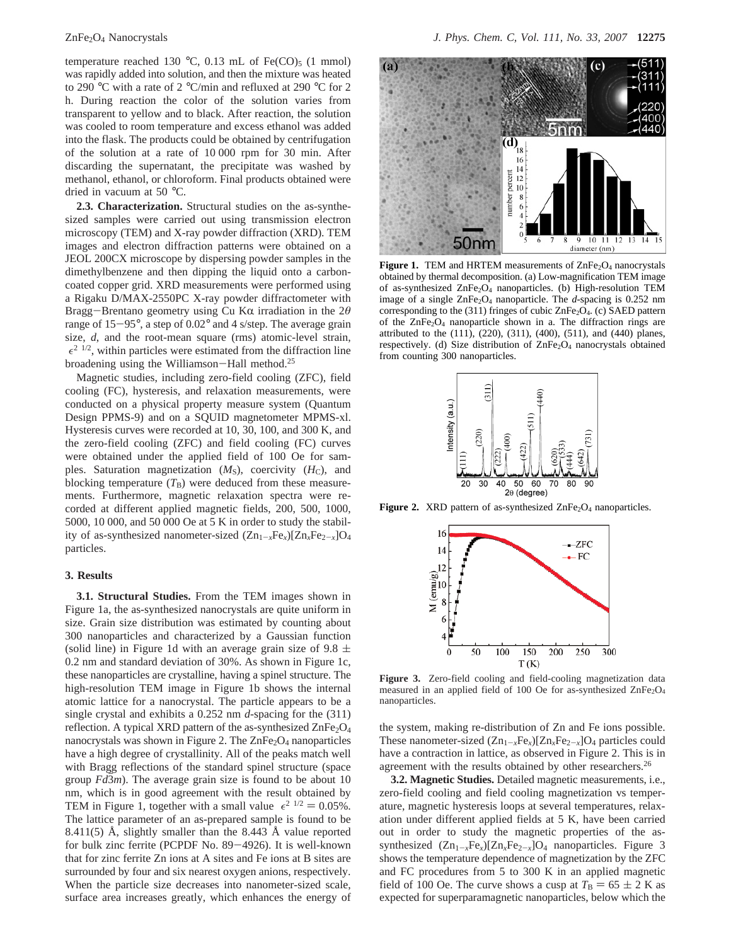temperature reached 130 °C, 0.13 mL of Fe(CO)<sub>5</sub> (1 mmol) was rapidly added into solution, and then the mixture was heated to 290 °C with a rate of 2 °C/min and refluxed at 290 °C for 2 h. During reaction the color of the solution varies from transparent to yellow and to black. After reaction, the solution was cooled to room temperature and excess ethanol was added into the flask. The products could be obtained by centrifugation of the solution at a rate of 10 000 rpm for 30 min. After discarding the supernatant, the precipitate was washed by methanol, ethanol, or chloroform. Final products obtained were dried in vacuum at 50 °C.

**2.3. Characterization.** Structural studies on the as-synthesized samples were carried out using transmission electron microscopy (TEM) and X-ray powder diffraction (XRD). TEM images and electron diffraction patterns were obtained on a JEOL 200CX microscope by dispersing powder samples in the dimethylbenzene and then dipping the liquid onto a carboncoated copper grid. XRD measurements were performed using a Rigaku D/MAX-2550PC X-ray powder diffractometer with Bragg-Brentano geometry using Cu Kα irradiation in the 2θ range of 15-95°, a step of 0.02° and 4 s/step. The average grain size, *d*, and the root-mean square (rms) atomic-level strain,  $\langle \epsilon^2 \rangle^{1/2}$ , within particles were estimated from the diffraction line broadening using the Williamson-Hall method.25

Magnetic studies, including zero-field cooling (ZFC), field cooling (FC), hysteresis, and relaxation measurements, were conducted on a physical property measure system (Quantum Design PPMS-9) and on a SQUID magnetometer MPMS-xl. Hysteresis curves were recorded at 10, 30, 100, and 300 K, and the zero-field cooling (ZFC) and field cooling (FC) curves were obtained under the applied field of 100 Oe for samples. Saturation magnetization  $(M<sub>S</sub>)$ , coercivity  $(H<sub>C</sub>)$ , and blocking temperature  $(T<sub>B</sub>)$  were deduced from these measurements. Furthermore, magnetic relaxation spectra were recorded at different applied magnetic fields, 200, 500, 1000, 5000, 10 000, and 50 000 Oe at 5 K in order to study the stability of as-synthesized nanometer-sized  $(Zn_{1-r}Fe_r)[Zn_rFe_{2-r}]O_4$ particles.

#### **3. Results**

**3.1. Structural Studies.** From the TEM images shown in Figure 1a, the as-synthesized nanocrystals are quite uniform in size. Grain size distribution was estimated by counting about 300 nanoparticles and characterized by a Gaussian function (solid line) in Figure 1d with an average grain size of 9.8  $\pm$ 0.2 nm and standard deviation of 30%. As shown in Figure 1c, these nanoparticles are crystalline, having a spinel structure. The high-resolution TEM image in Figure 1b shows the internal atomic lattice for a nanocrystal. The particle appears to be a single crystal and exhibits a 0.252 nm *d*-spacing for the (311) reflection. A typical XRD pattern of the as-synthesized  $\text{ZnFe}_2\text{O}_4$ nanocrystals was shown in Figure 2. The  $ZnFe<sub>2</sub>O<sub>4</sub>$  nanoparticles have a high degree of crystallinity. All of the peaks match well with Bragg reflections of the standard spinel structure (space group *Fd3m*). The average grain size is found to be about 10 nm, which is in good agreement with the result obtained by TEM in Figure 1, together with a small value  $\langle \epsilon^2 \rangle^{1/2} = 0.05\%$ . The lattice parameter of an as-prepared sample is found to be 8.411(5) Å, slightly smaller than the 8.443 Å value reported for bulk zinc ferrite (PCPDF No. 89-4926). It is well-known that for zinc ferrite Zn ions at A sites and Fe ions at B sites are surrounded by four and six nearest oxygen anions, respectively. When the particle size decreases into nanometer-sized scale, surface area increases greatly, which enhances the energy of



Figure 1. TEM and HRTEM measurements of ZnFe<sub>2</sub>O<sub>4</sub> nanocrystals obtained by thermal decomposition. (a) Low-magnification TEM image of as-synthesized ZnFe<sub>2</sub>O<sub>4</sub> nanoparticles. (b) High-resolution TEM image of a single  $\text{ZnFe}_2\text{O}_4$  nanoparticle. The *d*-spacing is 0.252 nm corresponding to the  $(311)$  fringes of cubic ZnFe<sub>2</sub>O<sub>4</sub>. (c) SAED pattern of the  $ZnFe<sub>2</sub>O<sub>4</sub>$  nanoparticle shown in a. The diffraction rings are attributed to the (111), (220), (311), (400), (511), and (440) planes, respectively. (d) Size distribution of  $\text{ZnFe}_2\text{O}_4$  nanocrystals obtained from counting 300 nanoparticles.



**Figure 2.** XRD pattern of as-synthesized ZnFe<sub>2</sub>O<sub>4</sub> nanoparticles.



**Figure 3.** Zero-field cooling and field-cooling magnetization data measured in an applied field of 100 Oe for as-synthesized ZnFe<sub>2</sub>O<sub>4</sub> nanoparticles.

the system, making re-distribution of Zn and Fe ions possible. These nanometer-sized  $(Zn_{1-x}Fe_x)[Zn_xFe_{2-x}]O_4$  particles could have a contraction in lattice, as observed in Figure 2. This is in agreement with the results obtained by other researchers.<sup>26</sup>

**3.2. Magnetic Studies.** Detailed magnetic measurements, i.e., zero-field cooling and field cooling magnetization vs temperature, magnetic hysteresis loops at several temperatures, relaxation under different applied fields at 5 K, have been carried out in order to study the magnetic properties of the assynthesized  $(Zn_{1-x}Fe_x)[Zn_xFe_{2-x}]O_4$  nanoparticles. Figure 3 shows the temperature dependence of magnetization by the ZFC and FC procedures from 5 to 300 K in an applied magnetic field of 100 Oe. The curve shows a cusp at  $T_B = 65 \pm 2$  K as expected for superparamagnetic nanoparticles, below which the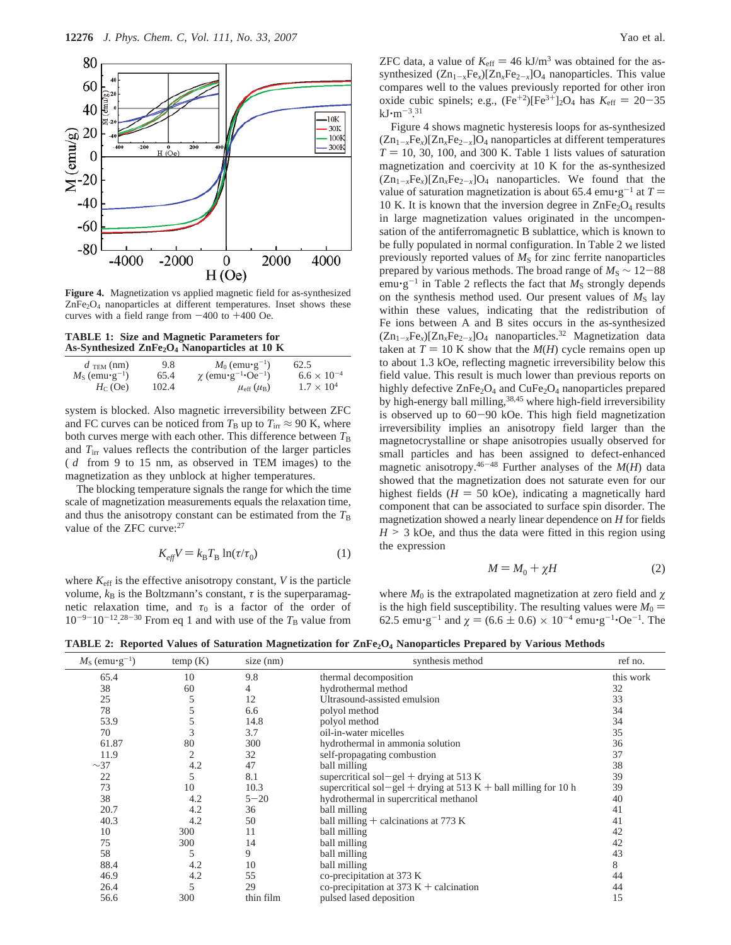

**Figure 4.** Magnetization vs applied magnetic field for as-synthesized  $ZnFe<sub>2</sub>O<sub>4</sub>$  nanoparticles at different temperatures. Inset shows these curves with a field range from  $-400$  to  $+400$  Oe.

**TABLE 1: Size and Magnetic Parameters for As-Synthesized ZnFe2O4 Nanoparticles at 10 K**

| 9.8   | $M_0$ (emu $\cdot$ g <sup>-1</sup> )            | 62.5                 |
|-------|-------------------------------------------------|----------------------|
| 65.4  | $\chi$ (emu•g <sup>-1</sup> •Oe <sup>-1</sup> ) | $6.6 \times 10^{-4}$ |
| 102.4 | $\mu_{\rm eff}$ ( $\mu_{\rm B}$ )               | $1.7 \times 10^{4}$  |
|       |                                                 |                      |

system is blocked. Also magnetic irreversibility between ZFC and FC curves can be noticed from  $T_B$  up to  $T_{irr} \approx 90$  K, where both curves merge with each other. This difference between  $T_B$ and  $T_{irr}$  values reflects the contribution of the larger particles  $(\langle d \rangle)$  from 9 to 15 nm, as observed in TEM images) to the magnetization as they unblock at higher temperatures.

The blocking temperature signals the range for which the time scale of magnetization measurements equals the relaxation time, and thus the anisotropy constant can be estimated from the  $T<sub>B</sub>$ value of the ZFC curve:<sup>27</sup>

$$
K_{\text{eff}}V = k_{\text{B}}T_{\text{B}}\ln(\tau/\tau_0) \tag{1}
$$

where  $K_{\text{eff}}$  is the effective anisotropy constant,  $V$  is the particle volume,  $k_B$  is the Boltzmann's constant,  $\tau$  is the superparamagnetic relaxation time, and  $\tau_0$  is a factor of the order of  $10^{-9-10^{-12}}$ <sup>28-30</sup> From eq 1 and with use of the  $T_B$  value from ZFC data, a value of  $K_{\text{eff}} = 46 \text{ kJ/m}^3$  was obtained for the assynthesized  $(Zn_{1-x}Fe_x)[Zn_xFe_{2-x}]O_4$  nanoparticles. This value compares well to the values previously reported for other iron oxide cubic spinels; e.g.,  $(Fe^{+2})[Fe^{3+}]_2O_4$  has  $K_{eff} = 20-35$  $kJ·m<sup>-3.31</sup>$ Figure

Figure 4 shows magnetic hysteresis loops for as-synthesized  $(Zn_{1-x}Fe_x)[Zn_xFe_{2-x}]$ O<sub>4</sub> nanoparticles at different temperatures  $T = 10, 30, 100,$  and 300 K. Table 1 lists values of saturation magnetization and coercivity at 10 K for the as-synthesized  $(Zn_{1-r}Fe_x)[Zn_xFe_{2-r}]O_4$  nanoparticles. We found that the value of saturation magnetization is about 65.4 emu $\cdot$ g<sup>-1</sup> at  $T =$ 10 K. It is known that the inversion degree in  $\text{ZnFe}_2\text{O}_4$  results in large magnetization values originated in the uncompensation of the antiferromagnetic B sublattice, which is known to be fully populated in normal configuration. In Table 2 we listed previously reported values of  $M<sub>S</sub>$  for zinc ferrite nanoparticles prepared by various methods. The broad range of  $M<sub>S</sub> \sim 12-88$ emu $\cdot$ g<sup>-1</sup> in Table 2 reflects the fact that  $M<sub>S</sub>$  strongly depends on the synthesis method used. Our present values of  $M<sub>S</sub>$  lay within these values, indicating that the redistribution of Fe ions between A and B sites occurs in the as-synthesized  $(Zn_{1-x}Fe_x)[Zn_xFe_{2-x}]O_4$  nanoparticles.<sup>32</sup> Magnetization data taken at  $T = 10$  K show that the  $M(H)$  cycle remains open up to about 1.3 kOe, reflecting magnetic irreversibility below this field value. This result is much lower than previous reports on highly defective ZnFe<sub>2</sub>O<sub>4</sub> and CuFe<sub>2</sub>O<sub>4</sub> nanoparticles prepared by high-energy ball milling,<sup>38,45</sup> where high-field irreversibility is observed up to 60-90 kOe. This high field magnetization irreversibility implies an anisotropy field larger than the magnetocrystalline or shape anisotropies usually observed for small particles and has been assigned to defect-enhanced magnetic anisotropy.46-<sup>48</sup> Further analyses of the *M*(*H*) data showed that the magnetization does not saturate even for our highest fields ( $H = 50$  kOe), indicating a magnetically hard component that can be associated to surface spin disorder. The magnetization showed a nearly linear dependence on *H* for fields  $H > 3$  kOe, and thus the data were fitted in this region using the expression

$$
M = M_0 + \chi H \tag{2}
$$

where  $M_0$  is the extrapolated magnetization at zero field and  $\chi$ is the high field susceptibility. The resulting values were  $M_0 =$ 62.5 emu $\cdot$ g<sup>-1</sup> and  $\gamma$  = (6.6  $\pm$  0.6) × 10<sup>-4</sup> emu $\cdot$ g<sup>-1</sup> $\cdot$ Oe<sup>-1</sup>. The

**TABLE 2: Reported Values of Saturation Magnetization for ZnFe2O4 Nanoparticles Prepared by Various Methods**

| $M_{\rm S}$ (emu•g <sup>-1</sup> ) | temp(K) | $size$ (nm) | synthesis method                                                | ref no.   |
|------------------------------------|---------|-------------|-----------------------------------------------------------------|-----------|
| 65.4                               | 10      | 9.8         | thermal decomposition                                           | this work |
| 38                                 | 60      | 4           | hydrothermal method                                             | 32        |
| 25                                 |         | 12          | Ultrasound-assisted emulsion                                    | 33        |
| 78                                 |         | 6.6         | polyol method                                                   | 34        |
| 53.9                               |         | 14.8        | polyol method                                                   | 34        |
| 70                                 | 3       | 3.7         | oil-in-water micelles                                           | 35        |
| 61.87                              | 80      | 300         | hydrothermal in ammonia solution                                | 36        |
| 11.9                               | 2       | 32          | self-propagating combustion                                     | 37        |
| $\sim$ 37                          | 4.2     | 47          | ball milling                                                    | 38        |
| 22                                 | 5       | 8.1         | supercritical sol-gel + drying at 513 K                         | 39        |
| 73                                 | 10      | 10.3        | supercritical sol-gel + drying at 513 K + ball milling for 10 h | 39        |
| 38                                 | 4.2     | $5 - 20$    | hydrothermal in supercritical methanol                          | 40        |
| 20.7                               | 4.2     | 36          | ball milling                                                    | 41        |
| 40.3                               | 4.2     | 50          | ball milling $+$ calcinations at 773 K                          | 41        |
| 10                                 | 300     | 11          | ball milling                                                    | 42        |
| 75                                 | 300     | 14          | ball milling                                                    | 42        |
| 58                                 | 5       | 9           | ball milling                                                    | 43        |
| 88.4                               | 4.2     | 10          | ball milling                                                    | 8         |
| 46.9                               | 4.2     | 55          | co-precipitation at 373 K                                       | 44        |
| 26.4                               | 5       | 29          | co-precipitation at 373 K + calcination                         | 44        |
| 56.6                               | 300     | thin film   | pulsed lased deposition                                         | 15        |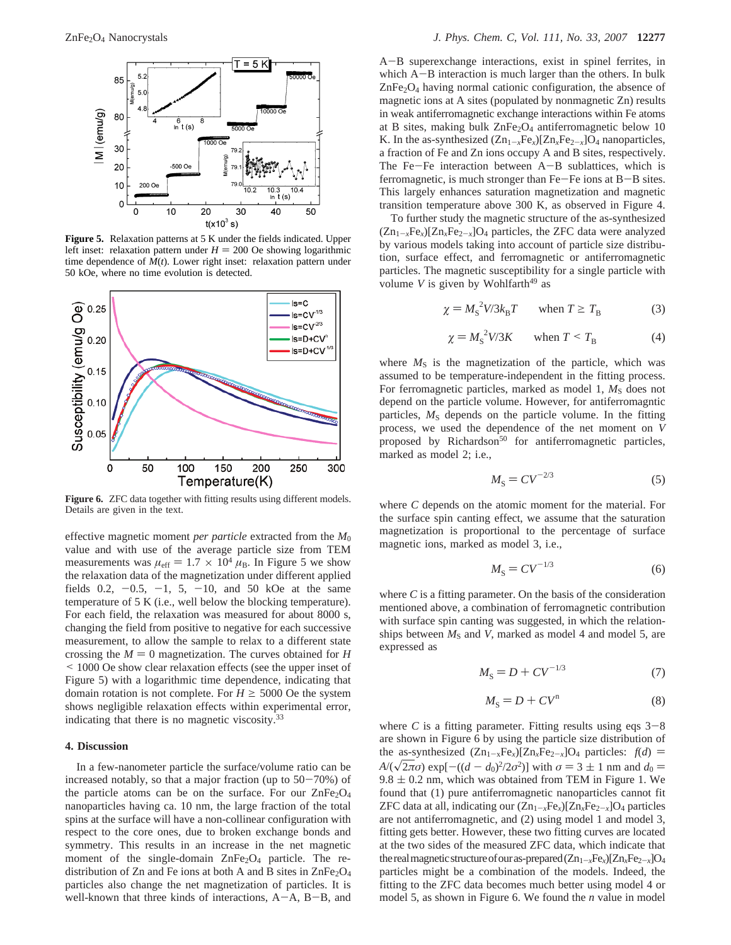

**Figure 5.** Relaxation patterns at 5 K under the fields indicated. Upper left inset: relaxation pattern under  $H = 200$  Oe showing logarithmic time dependence of *M*(*t*). Lower right inset: relaxation pattern under 50 kOe, where no time evolution is detected.



Figure 6. ZFC data together with fitting results using different models. Details are given in the text.

effective magnetic moment *per particle* extracted from the *M*<sup>0</sup> value and with use of the average particle size from TEM measurements was  $\mu_{\text{eff}} = 1.7 \times 10^4 \mu_{\text{B}}$ . In Figure 5 we show the relaxation data of the magnetization under different applied fields 0.2,  $-0.5$ ,  $-1$ , 5,  $-10$ , and 50 kOe at the same temperature of 5 K (i.e., well below the blocking temperature). For each field, the relaxation was measured for about 8000 s, changing the field from positive to negative for each successive measurement, to allow the sample to relax to a different state crossing the  $M = 0$  magnetization. The curves obtained for *H* < 1000 Oe show clear relaxation effects (see the upper inset of Figure 5) with a logarithmic time dependence, indicating that domain rotation is not complete. For  $H \ge 5000$  Oe the system shows negligible relaxation effects within experimental error, indicating that there is no magnetic viscosity.<sup>33</sup>

## **4. Discussion**

In a few-nanometer particle the surface/volume ratio can be increased notably, so that a major fraction (up to  $50-70%$ ) of the particle atoms can be on the surface. For our  $\text{ZnFe}_2\text{O}_4$ nanoparticles having ca. 10 nm, the large fraction of the total spins at the surface will have a non-collinear configuration with respect to the core ones, due to broken exchange bonds and symmetry. This results in an increase in the net magnetic moment of the single-domain  $ZnFe<sub>2</sub>O<sub>4</sub>$  particle. The redistribution of Zn and Fe ions at both A and B sites in ZnFe<sub>2</sub>O<sub>4</sub> particles also change the net magnetization of particles. It is well-known that three kinds of interactions, A-A, B-B, and

<sup>A</sup>-B superexchange interactions, exist in spinel ferrites, in which A-B interaction is much larger than the others. In bulk  $ZnFe<sub>2</sub>O<sub>4</sub>$  having normal cationic configuration, the absence of magnetic ions at A sites (populated by nonmagnetic Zn) results in weak antiferromagnetic exchange interactions within Fe atoms at B sites, making bulk  $ZnFe<sub>2</sub>O<sub>4</sub>$  antiferromagnetic below 10 K. In the as-synthesized  $(Zn_{1-x}Fe_x)[Zn_xFe_{2-x}]O_4$  nanoparticles, a fraction of Fe and Zn ions occupy A and B sites, respectively. The Fe $-F$ e interaction between  $A-B$  sublattices, which is ferromagnetic, is much stronger than Fe-Fe ions at B-B sites. This largely enhances saturation magnetization and magnetic transition temperature above 300 K, as observed in Figure 4.

To further study the magnetic structure of the as-synthesized  $(Zn_{1-x}Fe_x)[Zn_xFe_{2-x}]O_4$  particles, the ZFC data were analyzed by various models taking into account of particle size distribution, surface effect, and ferromagnetic or antiferromagnetic particles. The magnetic susceptibility for a single particle with volume  $V$  is given by Wohlfarth<sup>49</sup> as

$$
\chi = M_{\rm S}^2 V / 3 k_{\rm B} T \qquad \text{when } T \ge T_{\rm B} \tag{3}
$$

$$
\chi = M_{\rm S}^2 V / 3K \qquad \text{when } T < T_{\rm B} \tag{4}
$$

where  $M<sub>S</sub>$  is the magnetization of the particle, which was assumed to be temperature-independent in the fitting process. For ferromagnetic particles, marked as model 1,  $M<sub>S</sub>$  does not depend on the particle volume. However, for antiferromagntic particles,  $M<sub>S</sub>$  depends on the particle volume. In the fitting process, we used the dependence of the net moment on *V* proposed by Richardson<sup>50</sup> for antiferromagnetic particles, marked as model 2; i.e.,

$$
M_{\rm S} = CV^{-2/3} \tag{5}
$$

where *C* depends on the atomic moment for the material. For the surface spin canting effect, we assume that the saturation magnetization is proportional to the percentage of surface magnetic ions, marked as model 3, i.e.,

$$
M_{\rm S} = CV^{-1/3} \tag{6}
$$

where *C* is a fitting parameter. On the basis of the consideration mentioned above, a combination of ferromagnetic contribution with surface spin canting was suggested, in which the relationships between  $M<sub>S</sub>$  and *V*, marked as model 4 and model 5, are expressed as

$$
M_{\rm S} = D + CV^{-1/3} \tag{7}
$$

$$
M_{\rm S} = D + CV^{\rm n} \tag{8}
$$

where *C* is a fitting parameter. Fitting results using eqs  $3-8$ are shown in Figure 6 by using the particle size distribution of the as-synthesized  $(Zn_{1-x}Fe_x)[Zn_xFe_{2-x}]O_4$  particles:  $f(d)$ *A*/( $\sqrt{2\pi}\sigma$ ) exp[ $-((d - d_0)^2/2\sigma^2)$ ] with  $\sigma = 3 \pm 1$  nm and  $d_0 =$  $9.8 \pm 0.2$  nm, which was obtained from TEM in Figure 1. We found that (1) pure antiferromagnetic nanoparticles cannot fit ZFC data at all, indicating our  $(Zn_{1-x}Fe_x)[Zn_xFe_{2-x}]O_4$  particles are not antiferromagnetic, and (2) using model 1 and model 3, fitting gets better. However, these two fitting curves are located at the two sides of the measured ZFC data, which indicate that the real magnetic structure of our as-prepared  $(Zn_{1-x}Fe_x)[Zn_xFe_{2-x}]O_4$ particles might be a combination of the models. Indeed, the fitting to the ZFC data becomes much better using model 4 or model 5, as shown in Figure 6. We found the *n* value in model